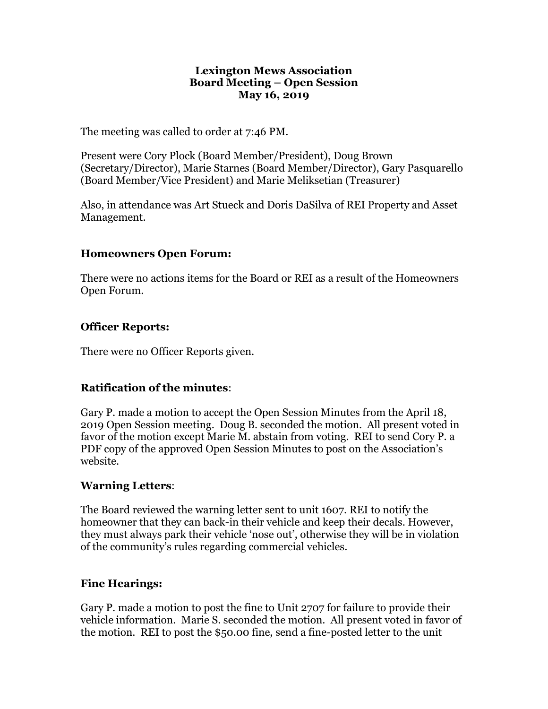#### **Lexington Mews Association Board Meeting – Open Session May 16, 2019**

The meeting was called to order at 7:46 PM.

Present were Cory Plock (Board Member/President), Doug Brown (Secretary/Director), Marie Starnes (Board Member/Director), Gary Pasquarello (Board Member/Vice President) and Marie Meliksetian (Treasurer)

Also, in attendance was Art Stueck and Doris DaSilva of REI Property and Asset Management.

### **Homeowners Open Forum:**

There were no actions items for the Board or REI as a result of the Homeowners Open Forum.

## **Officer Reports:**

There were no Officer Reports given.

## **Ratification of the minutes**:

Gary P. made a motion to accept the Open Session Minutes from the April 18, 2019 Open Session meeting. Doug B. seconded the motion. All present voted in favor of the motion except Marie M. abstain from voting. REI to send Cory P. a PDF copy of the approved Open Session Minutes to post on the Association's website.

### **Warning Letters**:

The Board reviewed the warning letter sent to unit 1607. REI to notify the homeowner that they can back-in their vehicle and keep their decals. However, they must always park their vehicle 'nose out', otherwise they will be in violation of the community's rules regarding commercial vehicles.

### **Fine Hearings:**

Gary P. made a motion to post the fine to Unit 2707 for failure to provide their vehicle information. Marie S. seconded the motion. All present voted in favor of the motion. REI to post the \$50.00 fine, send a fine-posted letter to the unit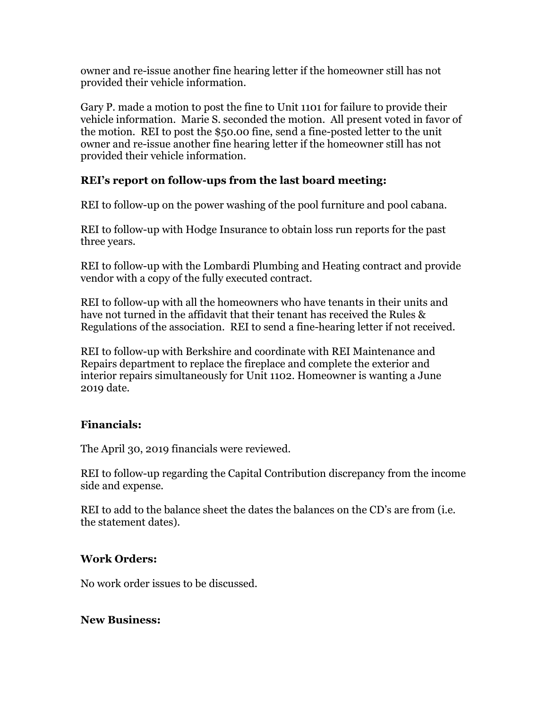owner and re-issue another fine hearing letter if the homeowner still has not provided their vehicle information.

Gary P. made a motion to post the fine to Unit 1101 for failure to provide their vehicle information. Marie S. seconded the motion. All present voted in favor of the motion. REI to post the \$50.00 fine, send a fine-posted letter to the unit owner and re-issue another fine hearing letter if the homeowner still has not provided their vehicle information.

## **REI's report on follow-ups from the last board meeting:**

REI to follow-up on the power washing of the pool furniture and pool cabana.

REI to follow-up with Hodge Insurance to obtain loss run reports for the past three years.

REI to follow-up with the Lombardi Plumbing and Heating contract and provide vendor with a copy of the fully executed contract.

REI to follow-up with all the homeowners who have tenants in their units and have not turned in the affidavit that their tenant has received the Rules & Regulations of the association. REI to send a fine-hearing letter if not received.

REI to follow-up with Berkshire and coordinate with REI Maintenance and Repairs department to replace the fireplace and complete the exterior and interior repairs simultaneously for Unit 1102. Homeowner is wanting a June 2019 date.

### **Financials:**

The April 30, 2019 financials were reviewed.

REI to follow-up regarding the Capital Contribution discrepancy from the income side and expense.

REI to add to the balance sheet the dates the balances on the CD's are from (i.e. the statement dates).

## **Work Orders:**

No work order issues to be discussed.

### **New Business:**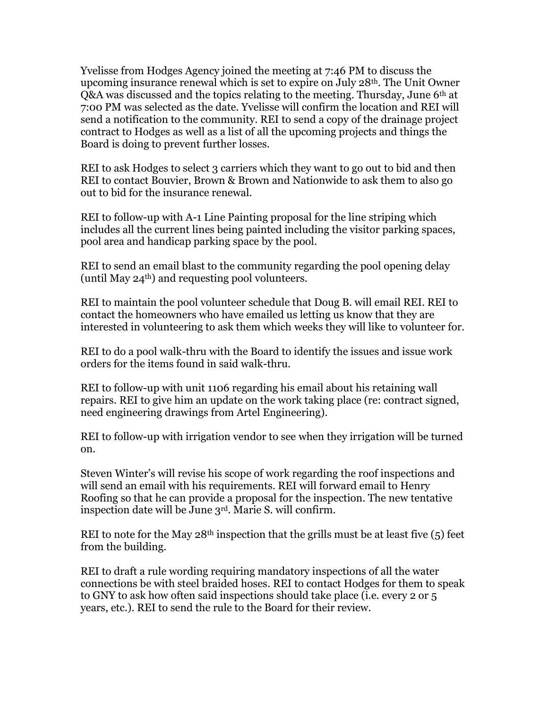Yvelisse from Hodges Agency joined the meeting at 7:46 PM to discuss the upcoming insurance renewal which is set to expire on July  $28<sup>th</sup>$ . The Unit Owner Q&A was discussed and the topics relating to the meeting. Thursday, June 6th at 7:00 PM was selected as the date. Yvelisse will confirm the location and REI will send a notification to the community. REI to send a copy of the drainage project contract to Hodges as well as a list of all the upcoming projects and things the Board is doing to prevent further losses.

REI to ask Hodges to select 3 carriers which they want to go out to bid and then REI to contact Bouvier, Brown & Brown and Nationwide to ask them to also go out to bid for the insurance renewal.

REI to follow-up with A-1 Line Painting proposal for the line striping which includes all the current lines being painted including the visitor parking spaces, pool area and handicap parking space by the pool.

REI to send an email blast to the community regarding the pool opening delay (until May  $24<sup>th</sup>$ ) and requesting pool volunteers.

REI to maintain the pool volunteer schedule that Doug B. will email REI. REI to contact the homeowners who have emailed us letting us know that they are interested in volunteering to ask them which weeks they will like to volunteer for.

REI to do a pool walk-thru with the Board to identify the issues and issue work orders for the items found in said walk-thru.

REI to follow-up with unit 1106 regarding his email about his retaining wall repairs. REI to give him an update on the work taking place (re: contract signed, need engineering drawings from Artel Engineering).

REI to follow-up with irrigation vendor to see when they irrigation will be turned on.

Steven Winter's will revise his scope of work regarding the roof inspections and will send an email with his requirements. REI will forward email to Henry Roofing so that he can provide a proposal for the inspection. The new tentative inspection date will be June 3rd. Marie S. will confirm.

REI to note for the May  $28<sup>th</sup>$  inspection that the grills must be at least five (5) feet from the building.

REI to draft a rule wording requiring mandatory inspections of all the water connections be with steel braided hoses. REI to contact Hodges for them to speak to GNY to ask how often said inspections should take place (i.e. every 2 or 5 years, etc.). REI to send the rule to the Board for their review.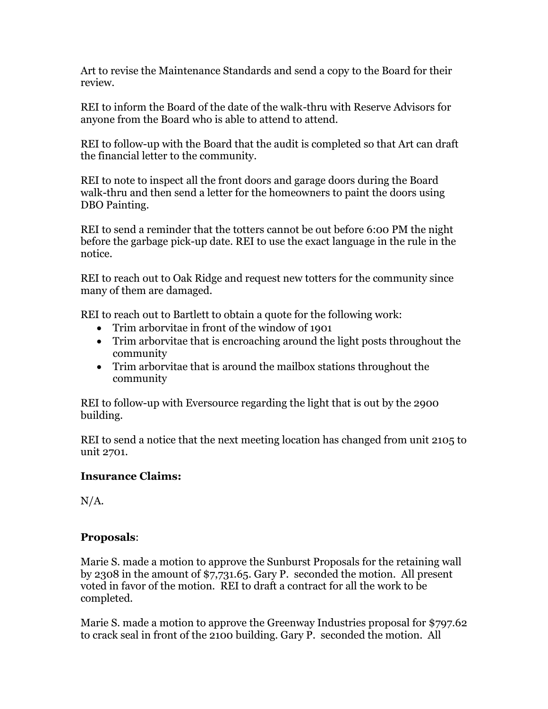Art to revise the Maintenance Standards and send a copy to the Board for their review.

REI to inform the Board of the date of the walk-thru with Reserve Advisors for anyone from the Board who is able to attend to attend.

REI to follow-up with the Board that the audit is completed so that Art can draft the financial letter to the community.

REI to note to inspect all the front doors and garage doors during the Board walk-thru and then send a letter for the homeowners to paint the doors using DBO Painting.

REI to send a reminder that the totters cannot be out before 6:00 PM the night before the garbage pick-up date. REI to use the exact language in the rule in the notice.

REI to reach out to Oak Ridge and request new totters for the community since many of them are damaged.

REI to reach out to Bartlett to obtain a quote for the following work:

- Trim arborvitae in front of the window of 1901
- Trim arborvitae that is encroaching around the light posts throughout the community
- Trim arborvitae that is around the mailbox stations throughout the community

REI to follow-up with Eversource regarding the light that is out by the 2900 building.

REI to send a notice that the next meeting location has changed from unit 2105 to unit 2701.

# **Insurance Claims:**

N/A.

# **Proposals**:

Marie S. made a motion to approve the Sunburst Proposals for the retaining wall by 2308 in the amount of \$7,731.65. Gary P. seconded the motion. All present voted in favor of the motion. REI to draft a contract for all the work to be completed.

Marie S. made a motion to approve the Greenway Industries proposal for \$797.62 to crack seal in front of the 2100 building. Gary P. seconded the motion. All